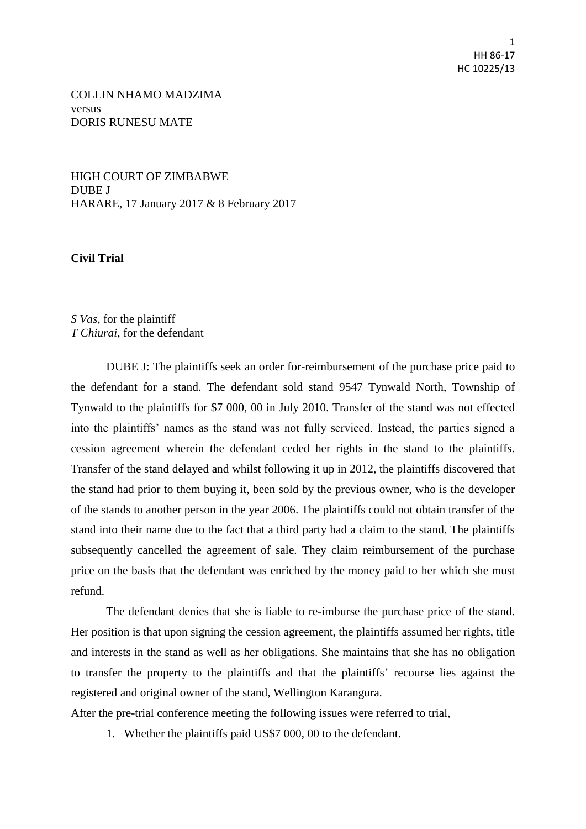COLLIN NHAMO MADZIMA versus DORIS RUNESU MATE

HIGH COURT OF ZIMBABWE DUBE J HARARE, 17 January 2017 & 8 February 2017

**Civil Trial**

*S Vas*, for the plaintiff *T Chiurai*, for the defendant

DUBE J: The plaintiffs seek an order for-reimbursement of the purchase price paid to the defendant for a stand. The defendant sold stand 9547 Tynwald North, Township of Tynwald to the plaintiffs for \$7 000, 00 in July 2010. Transfer of the stand was not effected into the plaintiffs' names as the stand was not fully serviced. Instead, the parties signed a cession agreement wherein the defendant ceded her rights in the stand to the plaintiffs. Transfer of the stand delayed and whilst following it up in 2012, the plaintiffs discovered that the stand had prior to them buying it, been sold by the previous owner, who is the developer of the stands to another person in the year 2006. The plaintiffs could not obtain transfer of the stand into their name due to the fact that a third party had a claim to the stand. The plaintiffs subsequently cancelled the agreement of sale. They claim reimbursement of the purchase price on the basis that the defendant was enriched by the money paid to her which she must refund.

The defendant denies that she is liable to re-imburse the purchase price of the stand. Her position is that upon signing the cession agreement, the plaintiffs assumed her rights, title and interests in the stand as well as her obligations. She maintains that she has no obligation to transfer the property to the plaintiffs and that the plaintiffs' recourse lies against the registered and original owner of the stand, Wellington Karangura.

After the pre-trial conference meeting the following issues were referred to trial,

1. Whether the plaintiffs paid US\$7 000, 00 to the defendant.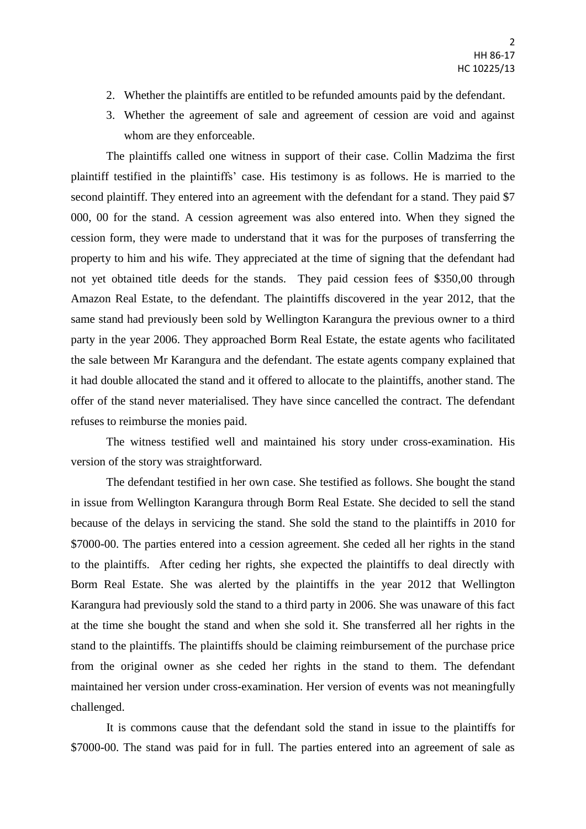- 2. Whether the plaintiffs are entitled to be refunded amounts paid by the defendant.
- 3. Whether the agreement of sale and agreement of cession are void and against whom are they enforceable.

The plaintiffs called one witness in support of their case. Collin Madzima the first plaintiff testified in the plaintiffs' case. His testimony is as follows. He is married to the second plaintiff. They entered into an agreement with the defendant for a stand. They paid \$7 000, 00 for the stand. A cession agreement was also entered into. When they signed the cession form, they were made to understand that it was for the purposes of transferring the property to him and his wife. They appreciated at the time of signing that the defendant had not yet obtained title deeds for the stands. They paid cession fees of \$350,00 through Amazon Real Estate, to the defendant. The plaintiffs discovered in the year 2012, that the same stand had previously been sold by Wellington Karangura the previous owner to a third party in the year 2006. They approached Borm Real Estate, the estate agents who facilitated the sale between Mr Karangura and the defendant. The estate agents company explained that it had double allocated the stand and it offered to allocate to the plaintiffs, another stand. The offer of the stand never materialised. They have since cancelled the contract. The defendant refuses to reimburse the monies paid.

The witness testified well and maintained his story under cross-examination. His version of the story was straightforward.

The defendant testified in her own case. She testified as follows. She bought the stand in issue from Wellington Karangura through Borm Real Estate. She decided to sell the stand because of the delays in servicing the stand. She sold the stand to the plaintiffs in 2010 for \$7000-00. The parties entered into a cession agreement. She ceded all her rights in the stand to the plaintiffs. After ceding her rights, she expected the plaintiffs to deal directly with Borm Real Estate. She was alerted by the plaintiffs in the year 2012 that Wellington Karangura had previously sold the stand to a third party in 2006. She was unaware of this fact at the time she bought the stand and when she sold it. She transferred all her rights in the stand to the plaintiffs. The plaintiffs should be claiming reimbursement of the purchase price from the original owner as she ceded her rights in the stand to them. The defendant maintained her version under cross-examination. Her version of events was not meaningfully challenged.

 It is commons cause that the defendant sold the stand in issue to the plaintiffs for \$7000-00. The stand was paid for in full. The parties entered into an agreement of sale as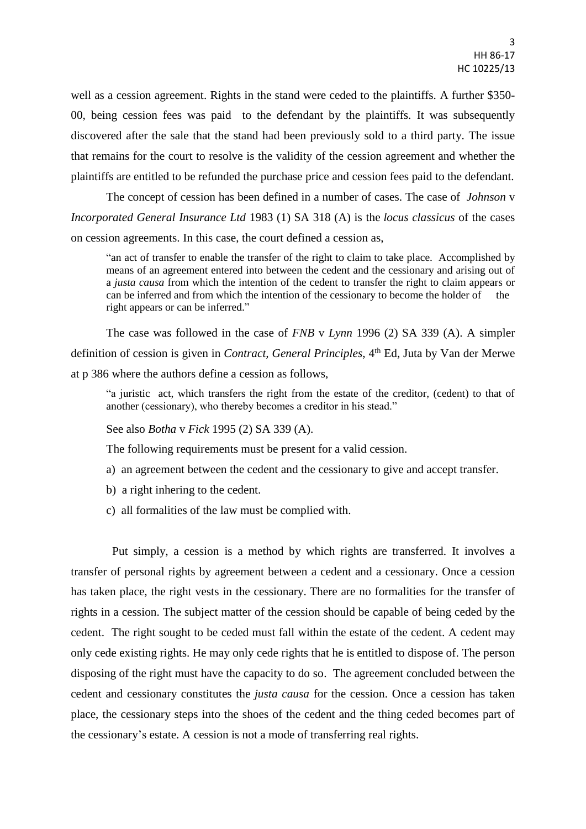well as a cession agreement. Rights in the stand were ceded to the plaintiffs. A further \$350- 00, being cession fees was paid to the defendant by the plaintiffs. It was subsequently discovered after the sale that the stand had been previously sold to a third party. The issue that remains for the court to resolve is the validity of the cession agreement and whether the plaintiffs are entitled to be refunded the purchase price and cession fees paid to the defendant.

 The concept of cession has been defined in a number of cases. The case of *Johnson* v *Incorporated General Insurance Ltd* 1983 (1) SA 318 (A) is the *locus classicus* of the cases on cession agreements. In this case, the court defined a cession as,

"an act of transfer to enable the transfer of the right to claim to take place. Accomplished by means of an agreement entered into between the cedent and the cessionary and arising out of a *justa causa* from which the intention of the cedent to transfer the right to claim appears or can be inferred and from which the intention of the cessionary to become the holder of the right appears or can be inferred."

The case was followed in the case of *FNB* v *Lynn* 1996 (2) SA 339 (A). A simpler definition of cession is given in *Contract, General Principles*, 4th Ed, Juta by Van der Merwe at p 386 where the authors define a cession as follows,

"a juristic act, which transfers the right from the estate of the creditor, (cedent) to that of another (cessionary), who thereby becomes a creditor in his stead."

See also *Botha* v *Fick* 1995 (2) SA 339 (A).

The following requirements must be present for a valid cession.

- a) an agreement between the cedent and the cessionary to give and accept transfer.
- b) a right inhering to the cedent.
- c) all formalities of the law must be complied with.

 Put simply, a cession is a method by which rights are transferred. It involves a transfer of personal rights by agreement between a cedent and a cessionary. Once a cession has taken place, the right vests in the cessionary. There are no formalities for the transfer of rights in a cession. The subject matter of the cession should be capable of being ceded by the cedent. The right sought to be ceded must fall within the estate of the cedent. A cedent may only cede existing rights. He may only cede rights that he is entitled to dispose of. The person disposing of the right must have the capacity to do so. The agreement concluded between the cedent and cessionary constitutes the *justa causa* for the cession. Once a cession has taken place, the cessionary steps into the shoes of the cedent and the thing ceded becomes part of the cessionary's estate. A cession is not a mode of transferring real rights.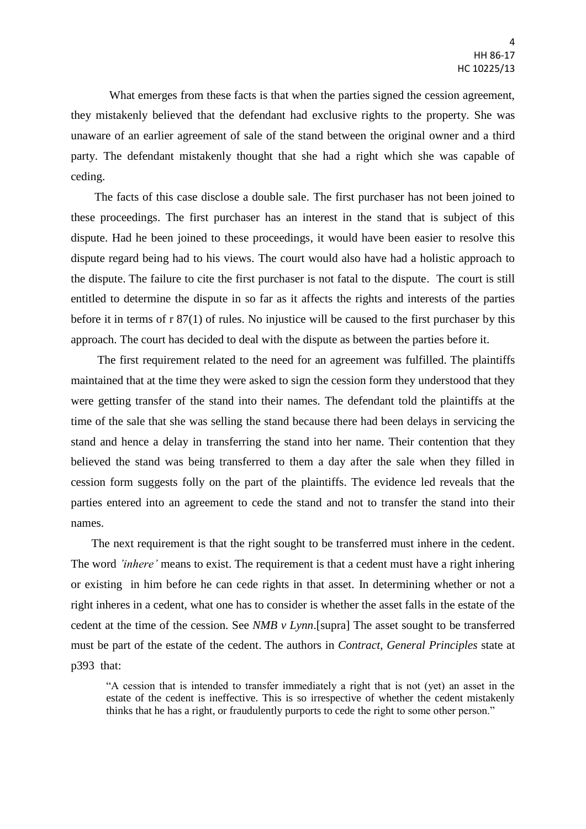What emerges from these facts is that when the parties signed the cession agreement, they mistakenly believed that the defendant had exclusive rights to the property. She was unaware of an earlier agreement of sale of the stand between the original owner and a third party. The defendant mistakenly thought that she had a right which she was capable of ceding.

 The facts of this case disclose a double sale. The first purchaser has not been joined to these proceedings. The first purchaser has an interest in the stand that is subject of this dispute. Had he been joined to these proceedings, it would have been easier to resolve this dispute regard being had to his views. The court would also have had a holistic approach to the dispute. The failure to cite the first purchaser is not fatal to the dispute. The court is still entitled to determine the dispute in so far as it affects the rights and interests of the parties before it in terms of r 87(1) of rules. No injustice will be caused to the first purchaser by this approach. The court has decided to deal with the dispute as between the parties before it.

 The first requirement related to the need for an agreement was fulfilled. The plaintiffs maintained that at the time they were asked to sign the cession form they understood that they were getting transfer of the stand into their names. The defendant told the plaintiffs at the time of the sale that she was selling the stand because there had been delays in servicing the stand and hence a delay in transferring the stand into her name. Their contention that they believed the stand was being transferred to them a day after the sale when they filled in cession form suggests folly on the part of the plaintiffs. The evidence led reveals that the parties entered into an agreement to cede the stand and not to transfer the stand into their names.

 The next requirement is that the right sought to be transferred must inhere in the cedent. The word *'inhere'* means to exist. The requirement is that a cedent must have a right inhering or existing in him before he can cede rights in that asset. In determining whether or not a right inheres in a cedent, what one has to consider is whether the asset falls in the estate of the cedent at the time of the cession. See *NMB v Lynn*.[supra] The asset sought to be transferred must be part of the estate of the cedent. The authors in *Contract, General Principles* state at p393 that:

"A cession that is intended to transfer immediately a right that is not (yet) an asset in the estate of the cedent is ineffective. This is so irrespective of whether the cedent mistakenly thinks that he has a right, or fraudulently purports to cede the right to some other person."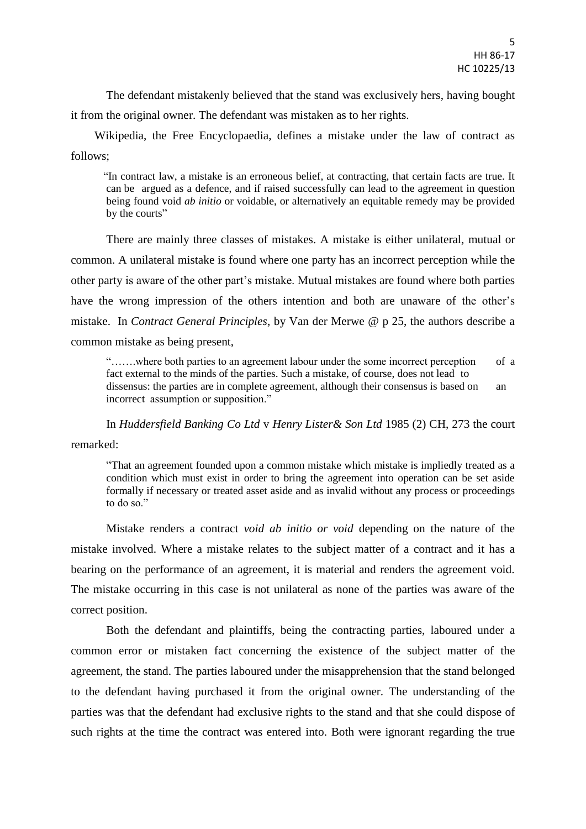The defendant mistakenly believed that the stand was exclusively hers, having bought it from the original owner. The defendant was mistaken as to her rights.

 Wikipedia, the Free Encyclopaedia, defines a mistake under the law of contract as follows;

 "In contract law, a mistake is an erroneous belief, at contracting, that certain facts are true. It can be argued as a defence, and if raised successfully can lead to the agreement in question being found void *ab initio* or voidable, or alternatively an equitable remedy may be provided by the courts"

There are mainly three classes of mistakes. A mistake is either unilateral, mutual or common. A unilateral mistake is found where one party has an incorrect perception while the other party is aware of the other part's mistake. Mutual mistakes are found where both parties have the wrong impression of the others intention and both are unaware of the other's mistake. In *Contract General Principles*, by Van der Merwe @ p 25, the authors describe a common mistake as being present,

"…….where both parties to an agreement labour under the some incorrect perception of a fact external to the minds of the parties. Such a mistake, of course, does not lead to dissensus: the parties are in complete agreement, although their consensus is based on an incorrect assumption or supposition."

In *Huddersfield Banking Co Ltd* v *Henry Lister& Son Ltd* 1985 (2) CH, 273 the court remarked:

"That an agreement founded upon a common mistake which mistake is impliedly treated as a condition which must exist in order to bring the agreement into operation can be set aside formally if necessary or treated asset aside and as invalid without any process or proceedings

to do so."

Mistake renders a contract *void ab initio or void* depending on the nature of the mistake involved. Where a mistake relates to the subject matter of a contract and it has a bearing on the performance of an agreement, it is material and renders the agreement void. The mistake occurring in this case is not unilateral as none of the parties was aware of the correct position.

Both the defendant and plaintiffs, being the contracting parties, laboured under a common error or mistaken fact concerning the existence of the subject matter of the agreement, the stand. The parties laboured under the misapprehension that the stand belonged to the defendant having purchased it from the original owner. The understanding of the parties was that the defendant had exclusive rights to the stand and that she could dispose of such rights at the time the contract was entered into. Both were ignorant regarding the true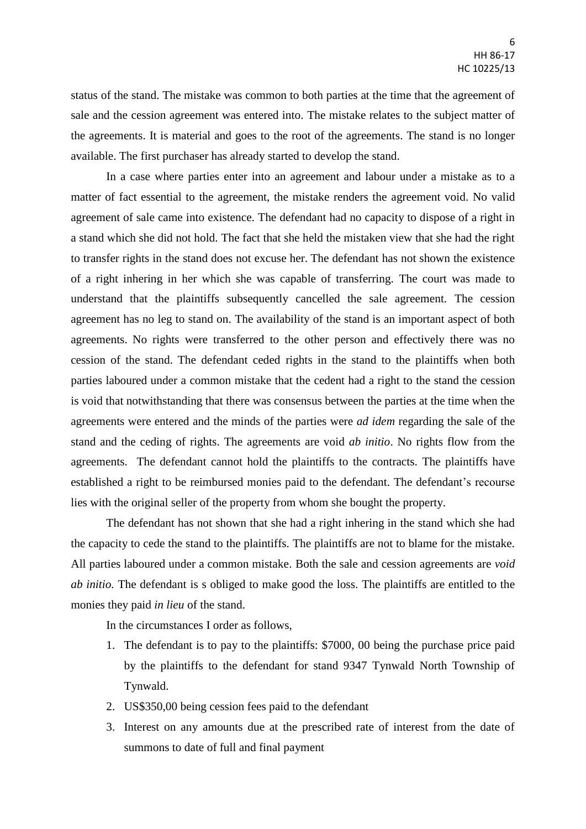status of the stand. The mistake was common to both parties at the time that the agreement of sale and the cession agreement was entered into. The mistake relates to the subject matter of the agreements. It is material and goes to the root of the agreements. The stand is no longer available. The first purchaser has already started to develop the stand.

In a case where parties enter into an agreement and labour under a mistake as to a matter of fact essential to the agreement, the mistake renders the agreement void. No valid agreement of sale came into existence. The defendant had no capacity to dispose of a right in a stand which she did not hold. The fact that she held the mistaken view that she had the right to transfer rights in the stand does not excuse her. The defendant has not shown the existence of a right inhering in her which she was capable of transferring. The court was made to understand that the plaintiffs subsequently cancelled the sale agreement. The cession agreement has no leg to stand on. The availability of the stand is an important aspect of both agreements. No rights were transferred to the other person and effectively there was no cession of the stand. The defendant ceded rights in the stand to the plaintiffs when both parties laboured under a common mistake that the cedent had a right to the stand the cession is void that notwithstanding that there was consensus between the parties at the time when the agreements were entered and the minds of the parties were *ad idem* regarding the sale of the stand and the ceding of rights. The agreements are void *ab initio*. No rights flow from the agreements. The defendant cannot hold the plaintiffs to the contracts. The plaintiffs have established a right to be reimbursed monies paid to the defendant. The defendant's recourse lies with the original seller of the property from whom she bought the property.

The defendant has not shown that she had a right inhering in the stand which she had the capacity to cede the stand to the plaintiffs. The plaintiffs are not to blame for the mistake. All parties laboured under a common mistake. Both the sale and cession agreements are *void ab initio.* The defendant is s obliged to make good the loss. The plaintiffs are entitled to the monies they paid *in lieu* of the stand.

In the circumstances I order as follows,

- 1. The defendant is to pay to the plaintiffs: \$7000, 00 being the purchase price paid by the plaintiffs to the defendant for stand 9347 Tynwald North Township of Tynwald.
- 2. US\$350,00 being cession fees paid to the defendant
- 3. Interest on any amounts due at the prescribed rate of interest from the date of summons to date of full and final payment